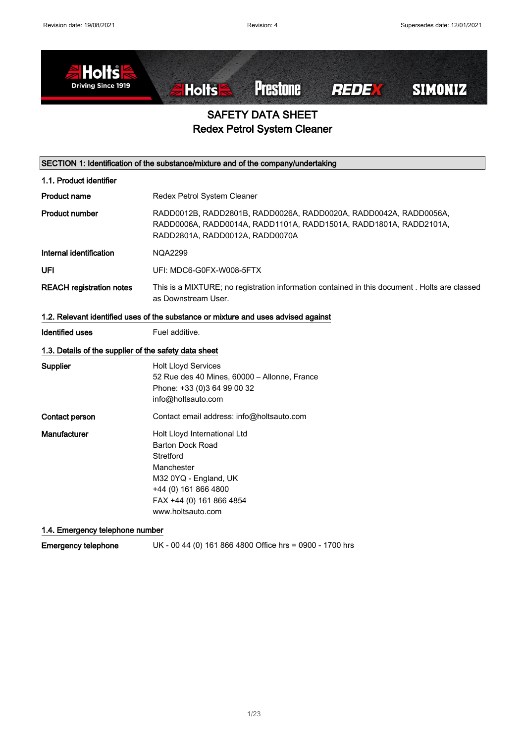

# SAFETY DATA SHEET Redex Petrol System Cleaner

| SECTION 1: Identification of the substance/mixture and of the company/undertaking |                                                                                                                                                                                      |  |
|-----------------------------------------------------------------------------------|--------------------------------------------------------------------------------------------------------------------------------------------------------------------------------------|--|
| 1.1. Product identifier                                                           |                                                                                                                                                                                      |  |
| <b>Product name</b>                                                               | Redex Petrol System Cleaner                                                                                                                                                          |  |
| <b>Product number</b>                                                             | RADD0012B, RADD2801B, RADD0026A, RADD0020A, RADD0042A, RADD0056A,<br>RADD0006A, RADD0014A, RADD1101A, RADD1501A, RADD1801A, RADD2101A,<br>RADD2801A, RADD0012A, RADD0070A            |  |
| Internal identification                                                           | <b>NQA2299</b>                                                                                                                                                                       |  |
| UFI                                                                               | UFI: MDC6-G0FX-W008-5FTX                                                                                                                                                             |  |
| <b>REACH registration notes</b>                                                   | This is a MIXTURE; no registration information contained in this document . Holts are classed<br>as Downstream User.                                                                 |  |
|                                                                                   | 1.2. Relevant identified uses of the substance or mixture and uses advised against                                                                                                   |  |
| <b>Identified uses</b>                                                            | Fuel additive.                                                                                                                                                                       |  |
| 1.3. Details of the supplier of the safety data sheet                             |                                                                                                                                                                                      |  |
| Supplier                                                                          | <b>Holt Lloyd Services</b><br>52 Rue des 40 Mines, 60000 - Allonne, France<br>Phone: +33 (0)3 64 99 00 32<br>info@holtsauto.com                                                      |  |
| Contact person                                                                    | Contact email address: info@holtsauto.com                                                                                                                                            |  |
| Manufacturer                                                                      | Holt Lloyd International Ltd<br><b>Barton Dock Road</b><br>Stretford<br>Manchester<br>M32 0YQ - England, UK<br>+44 (0) 161 866 4800<br>FAX +44 (0) 161 866 4854<br>www.holtsauto.com |  |
| 1.4. Emergency telephone number                                                   |                                                                                                                                                                                      |  |

Emergency telephone UK - 00 44 (0) 161 866 4800 Office hrs = 0900 - 1700 hrs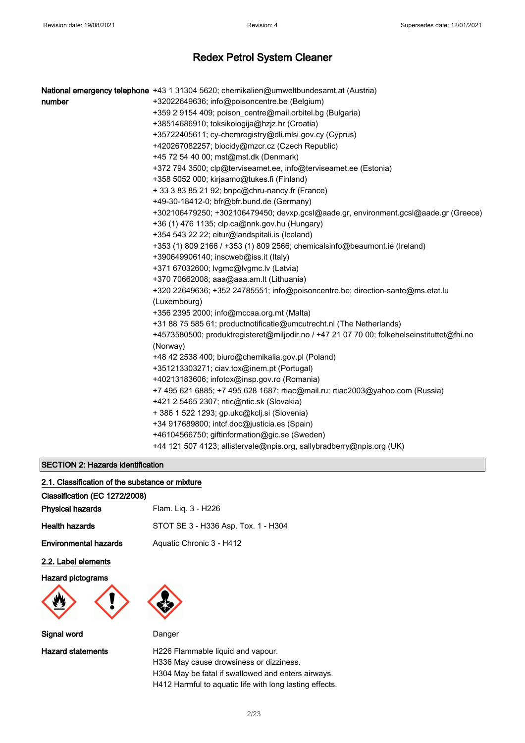|        | National emergency telephone +43 1 31304 5620; chemikalien@umweltbundesamt.at (Austria)                |
|--------|--------------------------------------------------------------------------------------------------------|
| number | +32022649636; info@poisoncentre.be (Belgium)                                                           |
|        | +359 2 9154 409; poison_centre@mail.orbitel.bg (Bulgaria)                                              |
|        | +38514686910; toksikologija@hzjz.hr (Croatia)                                                          |
|        | +35722405611; cy-chemregistry@dli.mlsi.gov.cy (Cyprus)                                                 |
|        | +420267082257; biocidy@mzcr.cz (Czech Republic)                                                        |
|        | +45 72 54 40 00; mst@mst.dk (Denmark)                                                                  |
|        | +372 794 3500; clp@terviseamet.ee, info@terviseamet.ee (Estonia)                                       |
|        | +358 5052 000; kirjaamo@tukes.fi (Finland)                                                             |
|        | + 33 3 83 85 21 92; bnpc@chru-nancy.fr (France)                                                        |
|        | +49-30-18412-0; bfr@bfr.bund.de (Germany)                                                              |
|        | +302106479250; +302106479450; devxp.gcsl@aade.gr, environment.gcsl@aade.gr (Greece)                    |
|        | +36 (1) 476 1135; clp.ca@nnk.gov.hu (Hungary)                                                          |
|        | +354 543 22 22; eitur@landspitali.is (Iceland)                                                         |
|        | +353 (1) 809 2166 / +353 (1) 809 2566; chemicalsinfo@beaumont.ie (Ireland)                             |
|        | +390649906140; inscweb@iss.it (Italy)                                                                  |
|        | +371 67032600; lvgmc@lvgmc.lv (Latvia)                                                                 |
|        | +370 70662008; aaa@aaa.am.lt (Lithuania)                                                               |
|        | +320 22649636; +352 24785551; info@poisoncentre.be; direction-sante@ms.etat.lu                         |
|        | (Luxembourg)                                                                                           |
|        | +356 2395 2000; info@mccaa.org.mt (Malta)                                                              |
|        | +31 88 75 585 61; productnotificatie@umcutrecht.nl (The Netherlands)                                   |
|        | +4573580500; produktregisteret@miljodir.no / +47 21 07 70 00; folkehelseinstituttet@fhi.no<br>(Norway) |
|        | +48 42 2538 400; biuro@chemikalia.gov.pl (Poland)                                                      |
|        | +351213303271; ciav.tox@inem.pt (Portugal)                                                             |
|        | +40213183606; infotox@insp.gov.ro (Romania)                                                            |
|        | +7 495 621 6885; +7 495 628 1687; rtiac@mail.ru; rtiac2003@yahoo.com (Russia)                          |
|        | +421 2 5465 2307; ntic@ntic.sk (Slovakia)                                                              |
|        | + 386 1 522 1293; gp.ukc@kclj.si (Slovenia)                                                            |
|        | +34 917689800; intcf.doc@justicia.es (Spain)                                                           |
|        | +46104566750; giftinformation@gic.se (Sweden)                                                          |
|        | +44 121 507 4123; allistervale@npis.org, sallybradberry@npis.org (UK)                                  |
|        |                                                                                                        |

### SECTION 2: Hazards identification

|  | 2.1. Classification of the substance or mixture |  |  |  |  |  |
|--|-------------------------------------------------|--|--|--|--|--|
|--|-------------------------------------------------|--|--|--|--|--|

| Classification (EC 1272/2008) |                                                                              |
|-------------------------------|------------------------------------------------------------------------------|
| <b>Physical hazards</b>       | Flam. Liq. 3 - H226                                                          |
| <b>Health hazards</b>         | STOT SE 3 - H336 Asp. Tox. 1 - H304                                          |
| <b>Environmental hazards</b>  | Aquatic Chronic 3 - H412                                                     |
| 2.2. Label elements           |                                                                              |
| <b>Hazard pictograms</b>      |                                                                              |
|                               |                                                                              |
| Signal word                   | Danger                                                                       |
| <b>Hazard statements</b>      | H226 Flammable liquid and vapour.<br>H336 May cause drowsiness or dizziness. |

H304 May be fatal if swallowed and enters airways. H412 Harmful to aquatic life with long lasting effects.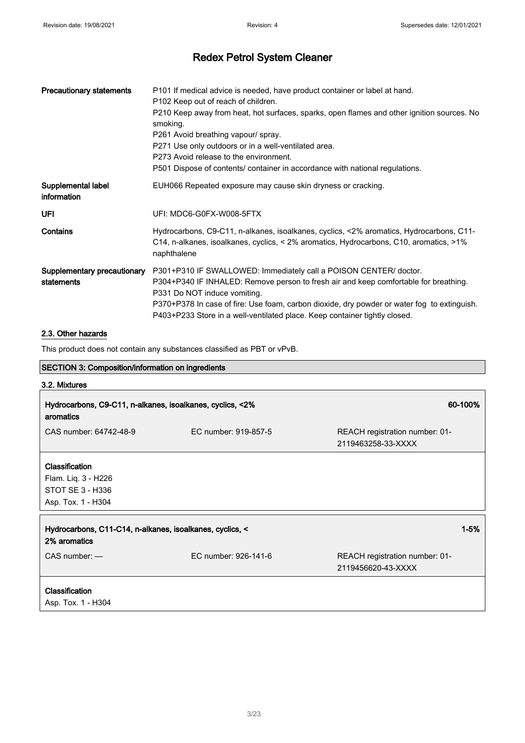| <b>Precautionary statements</b>           | P101 If medical advice is needed, have product container or label at hand.<br>P102 Keep out of reach of children.<br>P210 Keep away from heat, hot surfaces, sparks, open flames and other ignition sources. No<br>smoking.<br>P261 Avoid breathing vapour/ spray.<br>P271 Use only outdoors or in a well-ventilated area.<br>P273 Avoid release to the environment.<br>P501 Dispose of contents/ container in accordance with national regulations. |
|-------------------------------------------|------------------------------------------------------------------------------------------------------------------------------------------------------------------------------------------------------------------------------------------------------------------------------------------------------------------------------------------------------------------------------------------------------------------------------------------------------|
| Supplemental label<br>information         | EUH066 Repeated exposure may cause skin dryness or cracking.                                                                                                                                                                                                                                                                                                                                                                                         |
| UFI                                       | UFI: MDC6-G0FX-W008-5FTX                                                                                                                                                                                                                                                                                                                                                                                                                             |
| Contains                                  | Hydrocarbons, C9-C11, n-alkanes, isoalkanes, cyclics, <2% aromatics, Hydrocarbons, C11-<br>C14, n-alkanes, isoalkanes, cyclics, < 2% aromatics, Hydrocarbons, C10, aromatics, >1%<br>naphthalene                                                                                                                                                                                                                                                     |
| Supplementary precautionary<br>statements | P301+P310 IF SWALLOWED: Immediately call a POISON CENTER/ doctor.<br>P304+P340 IF INHALED: Remove person to fresh air and keep comfortable for breathing.<br>P331 Do NOT induce vomiting.<br>P370+P378 In case of fire: Use foam, carbon dioxide, dry powder or water fog to extinguish.<br>P403+P233 Store in a well-ventilated place. Keep container tightly closed.                                                                               |

### 2.3. Other hazards

This product does not contain any substances classified as PBT or vPvB.

| <b>SECTION 3: Composition/information on ingredients</b>                        |                      |                                                      |
|---------------------------------------------------------------------------------|----------------------|------------------------------------------------------|
| 3.2. Mixtures                                                                   |                      |                                                      |
| Hydrocarbons, C9-C11, n-alkanes, isoalkanes, cyclics, <2%<br>aromatics          |                      | 60-100%                                              |
| CAS number: 64742-48-9                                                          | EC number: 919-857-5 | REACH registration number: 01-<br>2119463258-33-XXXX |
| Classification<br>Flam. Liq. 3 - H226<br>STOT SE 3 - H336<br>Asp. Tox. 1 - H304 |                      |                                                      |
| Hydrocarbons, C11-C14, n-alkanes, isoalkanes, cyclics, <<br>2% aromatics        |                      | $1 - 5%$                                             |
| $CAS$ number: $-$                                                               | EC number: 926-141-6 | REACH registration number: 01-<br>2119456620-43-XXXX |
| Classification<br>Asp. Tox. 1 - H304                                            |                      |                                                      |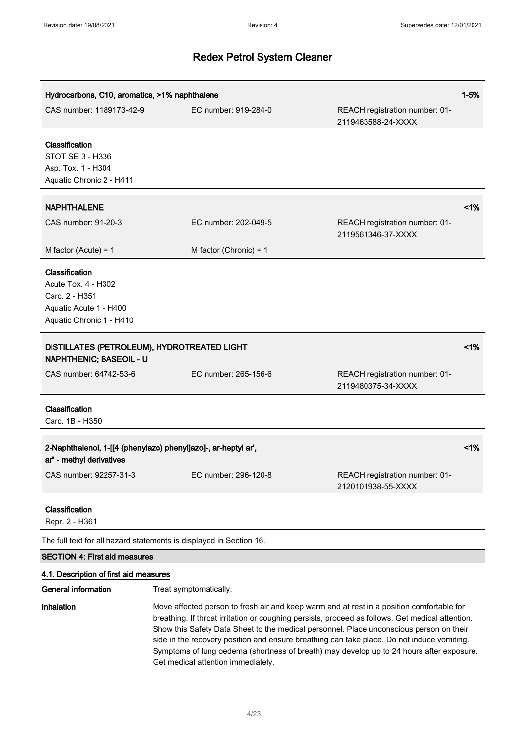| Hydrocarbons, C10, aromatics, >1% naphthalene                                                                 |                                                                     |                                                                                                                                                                                             | $1 - 5%$ |
|---------------------------------------------------------------------------------------------------------------|---------------------------------------------------------------------|---------------------------------------------------------------------------------------------------------------------------------------------------------------------------------------------|----------|
| CAS number: 1189173-42-9                                                                                      | EC number: 919-284-0                                                | REACH registration number: 01-<br>2119463588-24-XXXX                                                                                                                                        |          |
| Classification<br>STOT SE 3 - H336<br>Asp. Tox. 1 - H304<br>Aquatic Chronic 2 - H411                          |                                                                     |                                                                                                                                                                                             |          |
| <b>NAPHTHALENE</b>                                                                                            |                                                                     |                                                                                                                                                                                             | 1%       |
| CAS number: 91-20-3                                                                                           | EC number: 202-049-5                                                | REACH registration number: 01-<br>2119561346-37-XXXX                                                                                                                                        |          |
| M factor (Acute) = $1$                                                                                        | M factor (Chronic) = $1$                                            |                                                                                                                                                                                             |          |
| Classification<br>Acute Tox. 4 - H302<br>Carc. 2 - H351<br>Aquatic Acute 1 - H400<br>Aquatic Chronic 1 - H410 |                                                                     |                                                                                                                                                                                             |          |
| DISTILLATES (PETROLEUM), HYDROTREATED LIGHT<br><b>NAPHTHENIC; BASEOIL - U</b>                                 |                                                                     |                                                                                                                                                                                             | 1%       |
| CAS number: 64742-53-6                                                                                        | EC number: 265-156-6                                                | REACH registration number: 01-<br>2119480375-34-XXXX                                                                                                                                        |          |
| Classification<br>Carc. 1B - H350                                                                             |                                                                     |                                                                                                                                                                                             |          |
| ar" - methyl derivatives                                                                                      | 2-Naphthalenol, 1-[[4 (phenylazo) phenyl]azo]-, ar-heptyl ar',      |                                                                                                                                                                                             | 1%       |
| CAS number: 92257-31-3                                                                                        | EC number: 296-120-8                                                | REACH registration number: 01-<br>2120101938-55-XXXX                                                                                                                                        |          |
| Classification<br>Repr. 2 - H361                                                                              |                                                                     |                                                                                                                                                                                             |          |
|                                                                                                               | The full text for all hazard statements is displayed in Section 16. |                                                                                                                                                                                             |          |
| <b>SECTION 4: First aid measures</b>                                                                          |                                                                     |                                                                                                                                                                                             |          |
| 4.1. Description of first aid measures                                                                        |                                                                     |                                                                                                                                                                                             |          |
| <b>General information</b>                                                                                    | Treat symptomatically.                                              |                                                                                                                                                                                             |          |
| Inhalation                                                                                                    |                                                                     | Move affected person to fresh air and keep warm and at rest in a position comfortable for<br>broathing If throat irritation or coughing persists, proceed as follows. Cat modical attention |          |

breathing. If throat irritation or coughing persists, proceed as follows. Get medical attention. Show this Safety Data Sheet to the medical personnel. Place unconscious person on their side in the recovery position and ensure breathing can take place. Do not induce vomiting. Symptoms of lung oedema (shortness of breath) may develop up to 24 hours after exposure. Get medical attention immediately.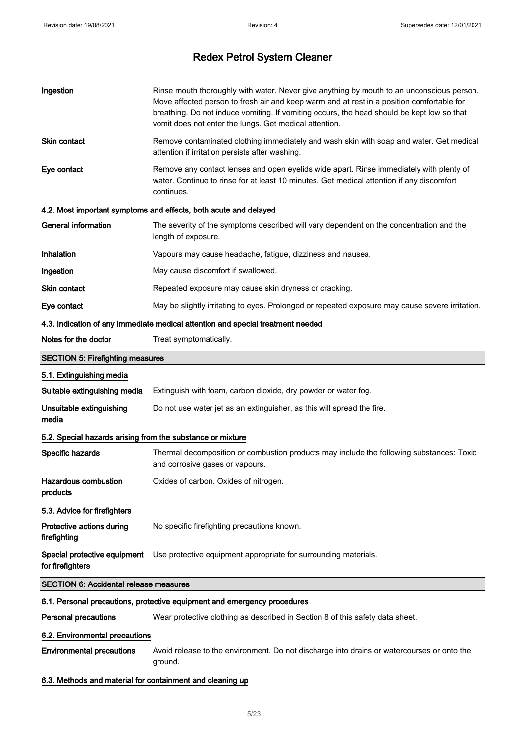| Ingestion                                                  | Rinse mouth thoroughly with water. Never give anything by mouth to an unconscious person.<br>Move affected person to fresh air and keep warm and at rest in a position comfortable for<br>breathing. Do not induce vomiting. If vomiting occurs, the head should be kept low so that<br>vomit does not enter the lungs. Get medical attention. |
|------------------------------------------------------------|------------------------------------------------------------------------------------------------------------------------------------------------------------------------------------------------------------------------------------------------------------------------------------------------------------------------------------------------|
| Skin contact                                               | Remove contaminated clothing immediately and wash skin with soap and water. Get medical<br>attention if irritation persists after washing.                                                                                                                                                                                                     |
| Eye contact                                                | Remove any contact lenses and open eyelids wide apart. Rinse immediately with plenty of<br>water. Continue to rinse for at least 10 minutes. Get medical attention if any discomfort<br>continues.                                                                                                                                             |
|                                                            | 4.2. Most important symptoms and effects, both acute and delayed                                                                                                                                                                                                                                                                               |
| <b>General information</b>                                 | The severity of the symptoms described will vary dependent on the concentration and the<br>length of exposure.                                                                                                                                                                                                                                 |
| Inhalation                                                 | Vapours may cause headache, fatigue, dizziness and nausea.                                                                                                                                                                                                                                                                                     |
| Ingestion                                                  | May cause discomfort if swallowed.                                                                                                                                                                                                                                                                                                             |
| Skin contact                                               | Repeated exposure may cause skin dryness or cracking.                                                                                                                                                                                                                                                                                          |
| Eye contact                                                | May be slightly irritating to eyes. Prolonged or repeated exposure may cause severe irritation.                                                                                                                                                                                                                                                |
|                                                            | 4.3. Indication of any immediate medical attention and special treatment needed                                                                                                                                                                                                                                                                |
| Notes for the doctor                                       | Treat symptomatically.                                                                                                                                                                                                                                                                                                                         |
| <b>SECTION 5: Firefighting measures</b>                    |                                                                                                                                                                                                                                                                                                                                                |
| 5.1. Extinguishing media                                   |                                                                                                                                                                                                                                                                                                                                                |
| Suitable extinguishing media                               | Extinguish with foam, carbon dioxide, dry powder or water fog.                                                                                                                                                                                                                                                                                 |
| Unsuitable extinguishing<br>media                          | Do not use water jet as an extinguisher, as this will spread the fire.                                                                                                                                                                                                                                                                         |
| 5.2. Special hazards arising from the substance or mixture |                                                                                                                                                                                                                                                                                                                                                |
| Specific hazards                                           | Thermal decomposition or combustion products may include the following substances: Toxic<br>and corrosive gases or vapours.                                                                                                                                                                                                                    |
| <b>Hazardous combustion</b><br>products                    | Oxides of carbon. Oxides of nitrogen.                                                                                                                                                                                                                                                                                                          |
| 5.3. Advice for firefighters                               |                                                                                                                                                                                                                                                                                                                                                |
| Protective actions during<br>firefighting                  | No specific firefighting precautions known.                                                                                                                                                                                                                                                                                                    |
| Special protective equipment<br>for firefighters           | Use protective equipment appropriate for surrounding materials.                                                                                                                                                                                                                                                                                |
| <b>SECTION 6: Accidental release measures</b>              |                                                                                                                                                                                                                                                                                                                                                |
|                                                            | 6.1. Personal precautions, protective equipment and emergency procedures                                                                                                                                                                                                                                                                       |
| <b>Personal precautions</b>                                | Wear protective clothing as described in Section 8 of this safety data sheet.                                                                                                                                                                                                                                                                  |
| 6.2. Environmental precautions                             |                                                                                                                                                                                                                                                                                                                                                |
| <b>Environmental precautions</b>                           | Avoid release to the environment. Do not discharge into drains or watercourses or onto the<br>ground.                                                                                                                                                                                                                                          |
| 6.3. Methods and material for containment and cleaning up  |                                                                                                                                                                                                                                                                                                                                                |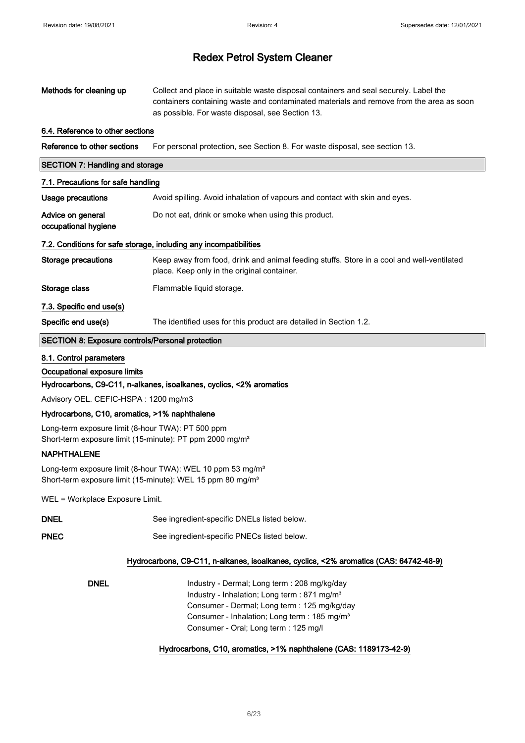| Methods for cleaning up                                                                                                                         | Collect and place in suitable waste disposal containers and seal securely. Label the<br>containers containing waste and contaminated materials and remove from the area as soon<br>as possible. For waste disposal, see Section 13.                                                                                                |
|-------------------------------------------------------------------------------------------------------------------------------------------------|------------------------------------------------------------------------------------------------------------------------------------------------------------------------------------------------------------------------------------------------------------------------------------------------------------------------------------|
| 6.4. Reference to other sections                                                                                                                |                                                                                                                                                                                                                                                                                                                                    |
| Reference to other sections                                                                                                                     | For personal protection, see Section 8. For waste disposal, see section 13.                                                                                                                                                                                                                                                        |
| <b>SECTION 7: Handling and storage</b>                                                                                                          |                                                                                                                                                                                                                                                                                                                                    |
| 7.1. Precautions for safe handling                                                                                                              |                                                                                                                                                                                                                                                                                                                                    |
| <b>Usage precautions</b>                                                                                                                        | Avoid spilling. Avoid inhalation of vapours and contact with skin and eyes.                                                                                                                                                                                                                                                        |
| Advice on general<br>occupational hygiene                                                                                                       | Do not eat, drink or smoke when using this product.                                                                                                                                                                                                                                                                                |
|                                                                                                                                                 | 7.2. Conditions for safe storage, including any incompatibilities                                                                                                                                                                                                                                                                  |
| <b>Storage precautions</b>                                                                                                                      | Keep away from food, drink and animal feeding stuffs. Store in a cool and well-ventilated<br>place. Keep only in the original container.                                                                                                                                                                                           |
| Storage class                                                                                                                                   | Flammable liquid storage.                                                                                                                                                                                                                                                                                                          |
| 7.3. Specific end use(s)                                                                                                                        |                                                                                                                                                                                                                                                                                                                                    |
| Specific end use(s)                                                                                                                             | The identified uses for this product are detailed in Section 1.2.                                                                                                                                                                                                                                                                  |
| <b>SECTION 8: Exposure controls/Personal protection</b>                                                                                         |                                                                                                                                                                                                                                                                                                                                    |
| 8.1. Control parameters<br>Occupational exposure limits                                                                                         | Hydrocarbons, C9-C11, n-alkanes, isoalkanes, cyclics, <2% aromatics                                                                                                                                                                                                                                                                |
| Advisory OEL. CEFIC-HSPA: 1200 mg/m3                                                                                                            |                                                                                                                                                                                                                                                                                                                                    |
| Hydrocarbons, C10, aromatics, >1% naphthalene                                                                                                   |                                                                                                                                                                                                                                                                                                                                    |
| Long-term exposure limit (8-hour TWA): PT 500 ppm<br>Short-term exposure limit (15-minute): PT ppm 2000 mg/m <sup>3</sup><br><b>NAPHTHALENE</b> |                                                                                                                                                                                                                                                                                                                                    |
|                                                                                                                                                 | Long-term exposure limit (8-hour TWA): WEL 10 ppm 53 mg/m <sup>3</sup><br>Short-term exposure limit (15-minute): WEL 15 ppm 80 mg/m <sup>3</sup>                                                                                                                                                                                   |
| WEL = Workplace Exposure Limit.                                                                                                                 |                                                                                                                                                                                                                                                                                                                                    |
| <b>DNEL</b>                                                                                                                                     | See ingredient-specific DNELs listed below.                                                                                                                                                                                                                                                                                        |
| <b>PNEC</b>                                                                                                                                     | See ingredient-specific PNECs listed below.                                                                                                                                                                                                                                                                                        |
|                                                                                                                                                 | Hydrocarbons, C9-C11, n-alkanes, isoalkanes, cyclics, <2% aromatics (CAS: 64742-48-9)                                                                                                                                                                                                                                              |
| <b>DNEL</b>                                                                                                                                     | Industry - Dermal; Long term : 208 mg/kg/day<br>Industry - Inhalation; Long term : 871 mg/m <sup>3</sup><br>Consumer - Dermal; Long term : 125 mg/kg/day<br>Consumer - Inhalation; Long term : 185 mg/m <sup>3</sup><br>Consumer - Oral; Long term : 125 mg/l<br>Hydrocarbons, C10, aromatics, >1% naphthalene (CAS: 1189173-42-9) |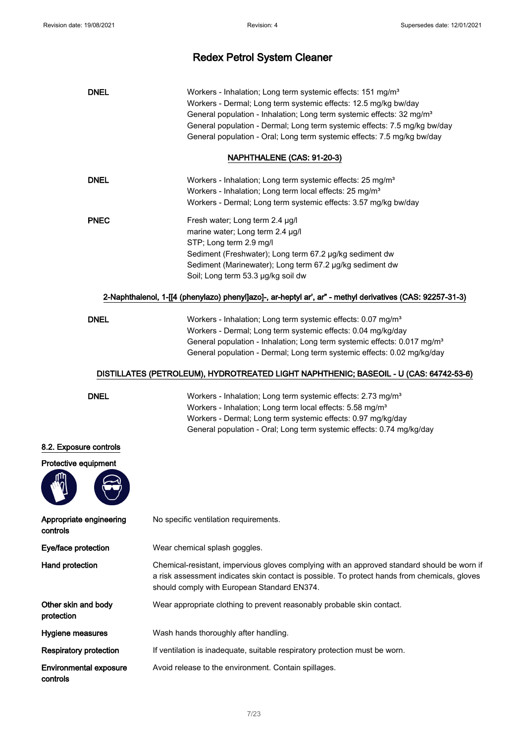| <b>DNEL</b>                               | Workers - Inhalation; Long term systemic effects: 151 mg/m <sup>3</sup><br>Workers - Dermal; Long term systemic effects: 12.5 mg/kg bw/day<br>General population - Inhalation; Long term systemic effects: 32 mg/m <sup>3</sup><br>General population - Dermal; Long term systemic effects: 7.5 mg/kg bw/day<br>General population - Oral; Long term systemic effects: 7.5 mg/kg bw/day<br>NAPHTHALENE (CAS: 91-20-3) |  |
|-------------------------------------------|-----------------------------------------------------------------------------------------------------------------------------------------------------------------------------------------------------------------------------------------------------------------------------------------------------------------------------------------------------------------------------------------------------------------------|--|
| <b>DNEL</b>                               | Workers - Inhalation; Long term systemic effects: 25 mg/m <sup>3</sup><br>Workers - Inhalation; Long term local effects: 25 mg/m <sup>3</sup><br>Workers - Dermal; Long term systemic effects: 3.57 mg/kg bw/day                                                                                                                                                                                                      |  |
| <b>PNEC</b>                               | Fresh water; Long term 2.4 µg/l<br>marine water; Long term 2.4 µg/l<br>STP; Long term 2.9 mg/l<br>Sediment (Freshwater); Long term 67.2 µg/kg sediment dw<br>Sediment (Marinewater); Long term 67.2 µg/kg sediment dw<br>Soil; Long term 53.3 µg/kg soil dw                                                                                                                                                           |  |
|                                           | 2-Naphthalenol, 1-[[4 (phenylazo) phenyl]azo]-, ar-heptyl ar', ar" - methyl derivatives (CAS: 92257-31-3)                                                                                                                                                                                                                                                                                                             |  |
| <b>DNEL</b>                               | Workers - Inhalation; Long term systemic effects: 0.07 mg/m <sup>3</sup><br>Workers - Dermal; Long term systemic effects: 0.04 mg/kg/day<br>General population - Inhalation; Long term systemic effects: 0.017 mg/m <sup>3</sup><br>General population - Dermal; Long term systemic effects: 0.02 mg/kg/day                                                                                                           |  |
|                                           | DISTILLATES (PETROLEUM), HYDROTREATED LIGHT NAPHTHENIC; BASEOIL - U (CAS: 64742-53-6)                                                                                                                                                                                                                                                                                                                                 |  |
| <b>DNEL</b>                               | Workers - Inhalation; Long term systemic effects: 2.73 mg/m <sup>3</sup><br>Workers - Inhalation; Long term local effects: 5.58 mg/m <sup>3</sup><br>Workers - Dermal; Long term systemic effects: 0.97 mg/kg/day<br>General population - Oral; Long term systemic effects: 0.74 mg/kg/day                                                                                                                            |  |
| 8.2. Exposure controls                    |                                                                                                                                                                                                                                                                                                                                                                                                                       |  |
| Protective equipment                      |                                                                                                                                                                                                                                                                                                                                                                                                                       |  |
| ΨŰ                                        |                                                                                                                                                                                                                                                                                                                                                                                                                       |  |
| Appropriate engineering<br>controls       | No specific ventilation requirements.                                                                                                                                                                                                                                                                                                                                                                                 |  |
| Eye/face protection                       | Wear chemical splash goggles.                                                                                                                                                                                                                                                                                                                                                                                         |  |
| Hand protection                           | Chemical-resistant, impervious gloves complying with an approved standard should be worn if<br>a risk assessment indicates skin contact is possible. To protect hands from chemicals, gloves<br>should comply with European Standard EN374.                                                                                                                                                                           |  |
| Other skin and body<br>protection         | Wear appropriate clothing to prevent reasonably probable skin contact.                                                                                                                                                                                                                                                                                                                                                |  |
| Hygiene measures                          | Wash hands thoroughly after handling.                                                                                                                                                                                                                                                                                                                                                                                 |  |
| <b>Respiratory protection</b>             | If ventilation is inadequate, suitable respiratory protection must be worn.                                                                                                                                                                                                                                                                                                                                           |  |
| <b>Environmental exposure</b><br>controls | Avoid release to the environment. Contain spillages.                                                                                                                                                                                                                                                                                                                                                                  |  |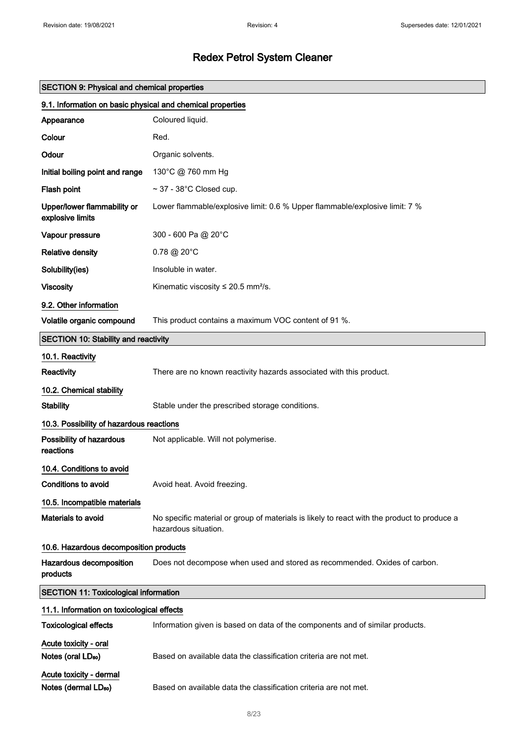| <b>SECTION 9: Physical and chemical properties</b>          |                                                                                                                     |  |
|-------------------------------------------------------------|---------------------------------------------------------------------------------------------------------------------|--|
| 9.1. Information on basic physical and chemical properties  |                                                                                                                     |  |
| Appearance                                                  | Coloured liquid.                                                                                                    |  |
| Colour                                                      | Red.                                                                                                                |  |
| Odour                                                       | Organic solvents.                                                                                                   |  |
| Initial boiling point and range                             | 130°C @ 760 mm Hg                                                                                                   |  |
| Flash point                                                 | $\sim$ 37 - 38°C Closed cup.                                                                                        |  |
| Upper/lower flammability or<br>explosive limits             | Lower flammable/explosive limit: 0.6 % Upper flammable/explosive limit: 7 %                                         |  |
| Vapour pressure                                             | 300 - 600 Pa @ 20°C                                                                                                 |  |
| <b>Relative density</b>                                     | $0.78 \ @ 20^{\circ}$ C                                                                                             |  |
| Solubility(ies)                                             | Insoluble in water.                                                                                                 |  |
| <b>Viscosity</b>                                            | Kinematic viscosity $\leq$ 20.5 mm <sup>2</sup> /s.                                                                 |  |
| 9.2. Other information                                      |                                                                                                                     |  |
| Volatile organic compound                                   | This product contains a maximum VOC content of 91 %.                                                                |  |
| <b>SECTION 10: Stability and reactivity</b>                 |                                                                                                                     |  |
| 10.1. Reactivity                                            |                                                                                                                     |  |
| Reactivity                                                  | There are no known reactivity hazards associated with this product.                                                 |  |
| 10.2. Chemical stability                                    |                                                                                                                     |  |
| <b>Stability</b>                                            | Stable under the prescribed storage conditions.                                                                     |  |
| 10.3. Possibility of hazardous reactions                    |                                                                                                                     |  |
| Possibility of hazardous<br>reactions                       | Not applicable. Will not polymerise.                                                                                |  |
| 10.4. Conditions to avoid                                   |                                                                                                                     |  |
| Conditions to avoid                                         | Avoid heat. Avoid freezing.                                                                                         |  |
| 10.5. Incompatible materials                                |                                                                                                                     |  |
| Materials to avoid                                          | No specific material or group of materials is likely to react with the product to produce a<br>hazardous situation. |  |
| 10.6. Hazardous decomposition products                      |                                                                                                                     |  |
| Hazardous decomposition<br>products                         | Does not decompose when used and stored as recommended. Oxides of carbon.                                           |  |
| <b>SECTION 11: Toxicological information</b>                |                                                                                                                     |  |
| 11.1. Information on toxicological effects                  |                                                                                                                     |  |
| <b>Toxicological effects</b>                                | Information given is based on data of the components and of similar products.                                       |  |
| Acute toxicity - oral<br>Notes (oral LD <sub>50</sub> )     | Based on available data the classification criteria are not met.                                                    |  |
| Acute toxicity - dermal<br>Notes (dermal LD <sub>50</sub> ) | Based on available data the classification criteria are not met.                                                    |  |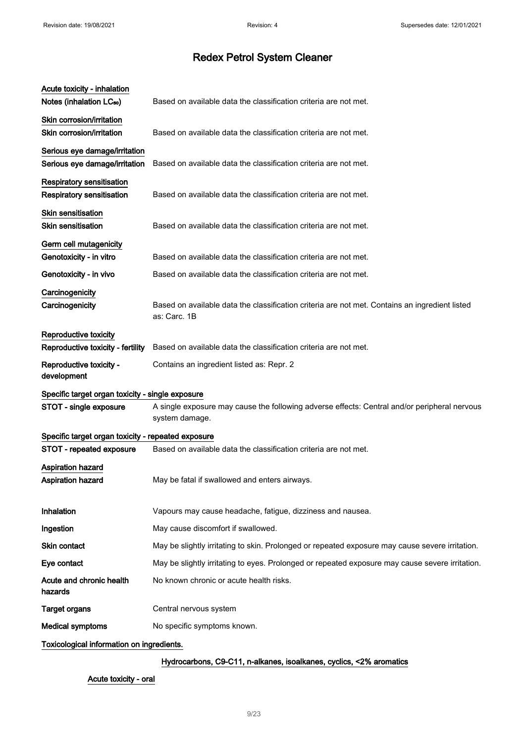| Acute toxicity - inhalation<br>Notes (inhalation LC <sub>50</sub> )  | Based on available data the classification criteria are not met.                                               |
|----------------------------------------------------------------------|----------------------------------------------------------------------------------------------------------------|
| Skin corrosion/irritation<br>Skin corrosion/irritation               | Based on available data the classification criteria are not met.                                               |
| Serious eye damage/irritation<br>Serious eye damage/irritation       | Based on available data the classification criteria are not met.                                               |
| <b>Respiratory sensitisation</b><br><b>Respiratory sensitisation</b> | Based on available data the classification criteria are not met.                                               |
| <b>Skin sensitisation</b><br>Skin sensitisation                      | Based on available data the classification criteria are not met.                                               |
| Germ cell mutagenicity<br>Genotoxicity - in vitro                    | Based on available data the classification criteria are not met.                                               |
| Genotoxicity - in vivo                                               | Based on available data the classification criteria are not met.                                               |
| Carcinogenicity<br>Carcinogenicity                                   | Based on available data the classification criteria are not met. Contains an ingredient listed<br>as: Carc. 1B |
| Reproductive toxicity                                                |                                                                                                                |
| Reproductive toxicity - fertility                                    | Based on available data the classification criteria are not met.                                               |
| Reproductive toxicity -<br>development                               | Contains an ingredient listed as: Repr. 2                                                                      |
| Specific target organ toxicity - single exposure                     |                                                                                                                |
| STOT - single exposure                                               | A single exposure may cause the following adverse effects: Central and/or peripheral nervous<br>system damage. |
| Specific target organ toxicity - repeated exposure                   |                                                                                                                |
| STOT - repeated exposure                                             | Based on available data the classification criteria are not met.                                               |
| <b>Aspiration hazard</b><br><b>Aspiration hazard</b>                 | May be fatal if swallowed and enters airways.                                                                  |
| Inhalation                                                           | Vapours may cause headache, fatigue, dizziness and nausea.                                                     |
| Ingestion                                                            | May cause discomfort if swallowed.                                                                             |
| Skin contact                                                         | May be slightly irritating to skin. Prolonged or repeated exposure may cause severe irritation.                |
| Eye contact                                                          | May be slightly irritating to eyes. Prolonged or repeated exposure may cause severe irritation.                |
| Acute and chronic health<br>hazards                                  | No known chronic or acute health risks.                                                                        |
| <b>Target organs</b>                                                 | Central nervous system                                                                                         |
| <b>Medical symptoms</b>                                              | No specific symptoms known.                                                                                    |
| Toxicological information on ingredients.                            |                                                                                                                |

### Hydrocarbons, C9-C11, n-alkanes, isoalkanes, cyclics, <2% aromatics

### Acute toxicity - oral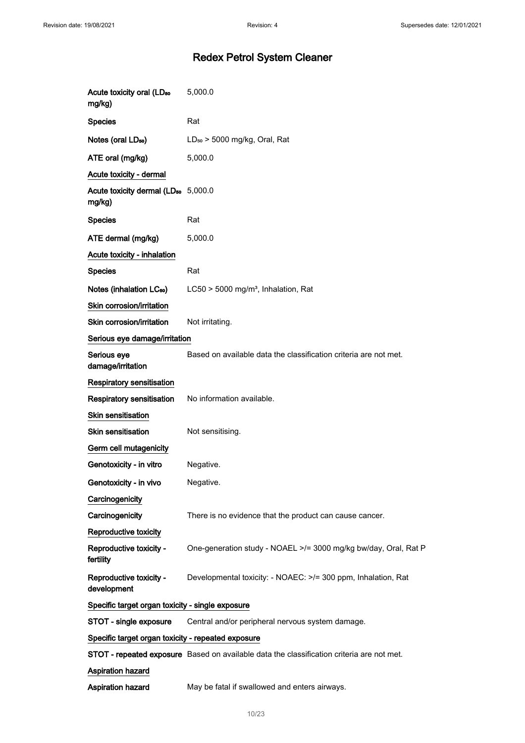| Acute toxicity oral (LD <sub>50</sub><br>mg/kg)           | 5,000.0                                                                                   |
|-----------------------------------------------------------|-------------------------------------------------------------------------------------------|
| <b>Species</b>                                            | Rat                                                                                       |
| Notes (oral LD <sub>50</sub> )                            | $LD_{50}$ > 5000 mg/kg, Oral, Rat                                                         |
| ATE oral (mg/kg)                                          | 5,000.0                                                                                   |
| Acute toxicity - dermal                                   |                                                                                           |
| Acute toxicity dermal (LD <sub>50</sub> 5,000.0<br>mg/kg) |                                                                                           |
| <b>Species</b>                                            | Rat                                                                                       |
| ATE dermal (mg/kg)                                        | 5,000.0                                                                                   |
| Acute toxicity - inhalation                               |                                                                                           |
| <b>Species</b>                                            | Rat                                                                                       |
| Notes (inhalation LC <sub>50</sub> )                      | LC50 > 5000 mg/m <sup>3</sup> , Inhalation, Rat                                           |
| Skin corrosion/irritation                                 |                                                                                           |
| Skin corrosion/irritation                                 | Not irritating.                                                                           |
| Serious eye damage/irritation                             |                                                                                           |
| Serious eye<br>damage/irritation                          | Based on available data the classification criteria are not met.                          |
| <b>Respiratory sensitisation</b>                          |                                                                                           |
| Respiratory sensitisation                                 | No information available.                                                                 |
| <b>Skin sensitisation</b>                                 |                                                                                           |
| Skin sensitisation                                        | Not sensitising.                                                                          |
| Germ cell mutagenicity                                    |                                                                                           |
| Genotoxicity - in vitro                                   | Negative.                                                                                 |
| Genotoxicity - in vivo                                    | Negative.                                                                                 |
| Carcinogenicity                                           |                                                                                           |
| Carcinogenicity                                           | There is no evidence that the product can cause cancer.                                   |
| Reproductive toxicity                                     |                                                                                           |
| Reproductive toxicity -<br>fertility                      | One-generation study - NOAEL >/= 3000 mg/kg bw/day, Oral, Rat P                           |
| Reproductive toxicity -<br>development                    | Developmental toxicity: - NOAEC: >/= 300 ppm, Inhalation, Rat                             |
| Specific target organ toxicity - single exposure          |                                                                                           |
| STOT - single exposure                                    | Central and/or peripheral nervous system damage.                                          |
| Specific target organ toxicity - repeated exposure        |                                                                                           |
|                                                           | STOT - repeated exposure Based on available data the classification criteria are not met. |
| <b>Aspiration hazard</b>                                  |                                                                                           |
| Aspiration hazard                                         | May be fatal if swallowed and enters airways.                                             |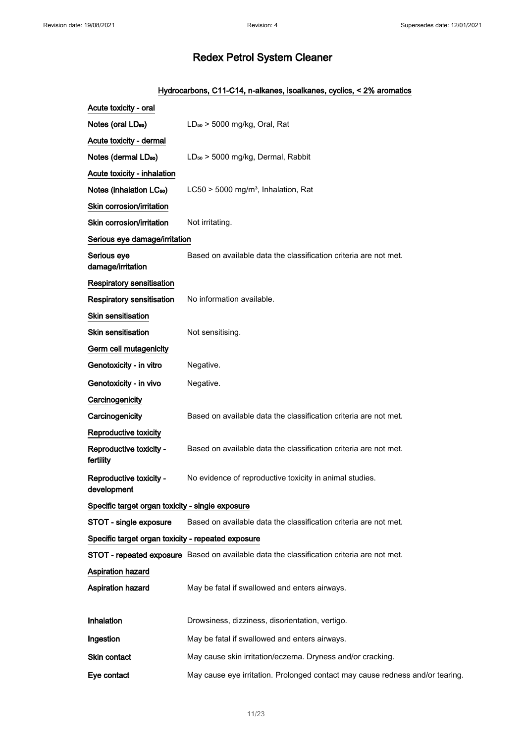### Hydrocarbons, C11-C14, n-alkanes, isoalkanes, cyclics, < 2% aromatics

| Acute toxicity - oral                              |                                                                                                  |
|----------------------------------------------------|--------------------------------------------------------------------------------------------------|
| Notes (oral LD <sub>50</sub> )                     | $LD_{50}$ > 5000 mg/kg, Oral, Rat                                                                |
| Acute toxicity - dermal                            |                                                                                                  |
| Notes (dermal LD <sub>50</sub> )                   | LD <sub>50</sub> > 5000 mg/kg, Dermal, Rabbit                                                    |
| Acute toxicity - inhalation                        |                                                                                                  |
| Notes (inhalation LC <sub>50</sub> )               | LC50 > 5000 mg/m <sup>3</sup> , Inhalation, Rat                                                  |
| Skin corrosion/irritation                          |                                                                                                  |
| Skin corrosion/irritation                          | Not irritating.                                                                                  |
| Serious eye damage/irritation                      |                                                                                                  |
| Serious eye<br>damage/irritation                   | Based on available data the classification criteria are not met.                                 |
| <b>Respiratory sensitisation</b>                   |                                                                                                  |
| <b>Respiratory sensitisation</b>                   | No information available.                                                                        |
| Skin sensitisation                                 |                                                                                                  |
| <b>Skin sensitisation</b>                          | Not sensitising.                                                                                 |
| Germ cell mutagenicity                             |                                                                                                  |
| Genotoxicity - in vitro                            | Negative.                                                                                        |
| Genotoxicity - in vivo                             | Negative.                                                                                        |
| Carcinogenicity                                    |                                                                                                  |
| Carcinogenicity                                    | Based on available data the classification criteria are not met.                                 |
| Reproductive toxicity                              |                                                                                                  |
| Reproductive toxicity -<br>fertility               | Based on available data the classification criteria are not met.                                 |
| Reproductive toxicity -<br>development             | No evidence of reproductive toxicity in animal studies.                                          |
| Specific target organ toxicity - single exposure   |                                                                                                  |
| STOT - single exposure                             | Based on available data the classification criteria are not met.                                 |
| Specific target organ toxicity - repeated exposure |                                                                                                  |
|                                                    | <b>STOT - repeated exposure</b> Based on available data the classification criteria are not met. |
| <b>Aspiration hazard</b>                           |                                                                                                  |
| Aspiration hazard                                  | May be fatal if swallowed and enters airways.                                                    |
| <b>Inhalation</b>                                  | Drowsiness, dizziness, disorientation, vertigo.                                                  |
| Ingestion                                          | May be fatal if swallowed and enters airways.                                                    |
| Skin contact                                       | May cause skin irritation/eczema. Dryness and/or cracking.                                       |
| Eye contact                                        | May cause eye irritation. Prolonged contact may cause redness and/or tearing.                    |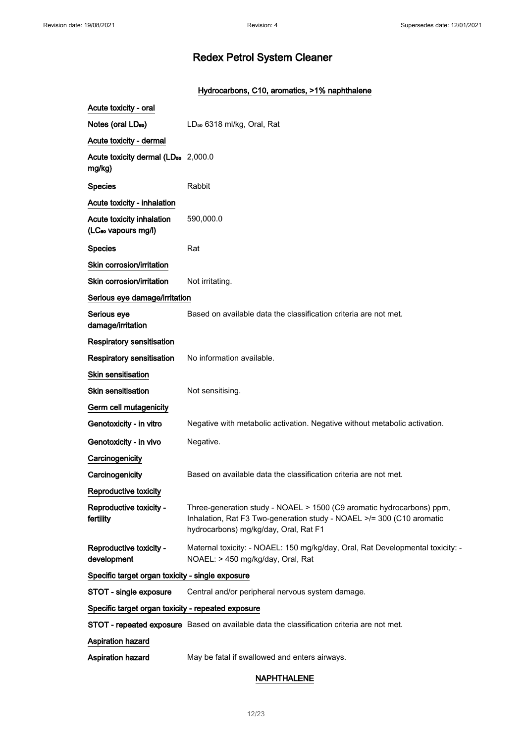### Hydrocarbons, C10, aromatics, >1% naphthalene

| Acute toxicity - oral                                        |                                                                                                                                                                                         |
|--------------------------------------------------------------|-----------------------------------------------------------------------------------------------------------------------------------------------------------------------------------------|
| Notes (oral LD <sub>50</sub> )                               | LD <sub>50</sub> 6318 ml/kg, Oral, Rat                                                                                                                                                  |
| Acute toxicity - dermal                                      |                                                                                                                                                                                         |
| Acute toxicity dermal (LD <sub>50</sub> 2,000.0<br>mg/kg)    |                                                                                                                                                                                         |
| <b>Species</b>                                               | Rabbit                                                                                                                                                                                  |
| Acute toxicity - inhalation                                  |                                                                                                                                                                                         |
| Acute toxicity inhalation<br>(LC <sub>50</sub> vapours mg/l) | 590,000.0                                                                                                                                                                               |
| <b>Species</b>                                               | Rat                                                                                                                                                                                     |
| Skin corrosion/irritation                                    |                                                                                                                                                                                         |
| Skin corrosion/irritation                                    | Not irritating.                                                                                                                                                                         |
| Serious eye damage/irritation                                |                                                                                                                                                                                         |
| Serious eye<br>damage/irritation                             | Based on available data the classification criteria are not met.                                                                                                                        |
| <b>Respiratory sensitisation</b>                             |                                                                                                                                                                                         |
| <b>Respiratory sensitisation</b>                             | No information available.                                                                                                                                                               |
| <b>Skin sensitisation</b>                                    |                                                                                                                                                                                         |
| <b>Skin sensitisation</b>                                    | Not sensitising.                                                                                                                                                                        |
| Germ cell mutagenicity                                       |                                                                                                                                                                                         |
| Genotoxicity - in vitro                                      | Negative with metabolic activation. Negative without metabolic activation.                                                                                                              |
| Genotoxicity - in vivo                                       | Negative.                                                                                                                                                                               |
| Carcinogenicity                                              |                                                                                                                                                                                         |
| Carcinogenicity                                              | Based on available data the classification criteria are not met.                                                                                                                        |
| Reproductive toxicity                                        |                                                                                                                                                                                         |
| Reproductive toxicity -<br>fertility                         | Three-generation study - NOAEL > 1500 (C9 aromatic hydrocarbons) ppm,<br>Inhalation, Rat F3 Two-generation study - NOAEL >/= 300 (C10 aromatic<br>hydrocarbons) mg/kg/day, Oral, Rat F1 |
| Reproductive toxicity -<br>development                       | Maternal toxicity: - NOAEL: 150 mg/kg/day, Oral, Rat Developmental toxicity: -<br>NOAEL: > 450 mg/kg/day, Oral, Rat                                                                     |
| Specific target organ toxicity - single exposure             |                                                                                                                                                                                         |
| STOT - single exposure                                       | Central and/or peripheral nervous system damage.                                                                                                                                        |
| Specific target organ toxicity - repeated exposure           |                                                                                                                                                                                         |
|                                                              | STOT - repeated exposure Based on available data the classification criteria are not met.                                                                                               |
| <b>Aspiration hazard</b>                                     |                                                                                                                                                                                         |
| Aspiration hazard                                            | May be fatal if swallowed and enters airways.                                                                                                                                           |

#### NAPHTHALENE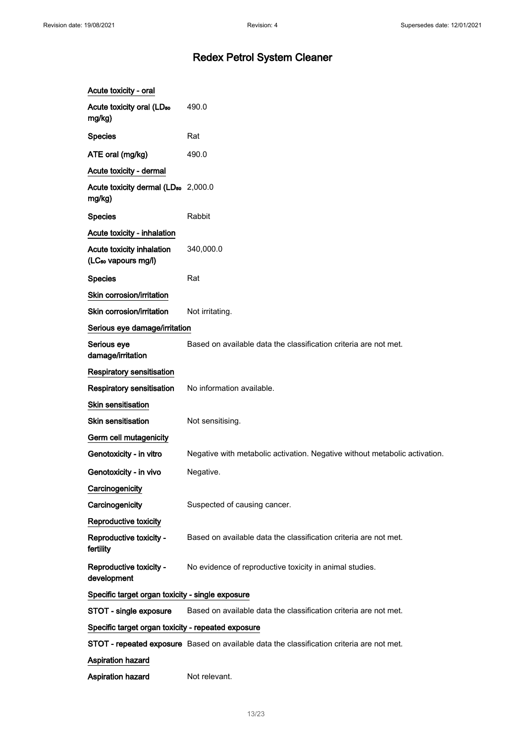| Acute toxicity - oral                                        |                                                                                           |
|--------------------------------------------------------------|-------------------------------------------------------------------------------------------|
| Acute toxicity oral (LD <sub>50</sub><br>mg/kg)              | 490.0                                                                                     |
| <b>Species</b>                                               | Rat                                                                                       |
| ATE oral (mg/kg)                                             | 490.0                                                                                     |
| Acute toxicity - dermal                                      |                                                                                           |
| Acute toxicity dermal (LD <sub>50</sub> 2,000.0<br>mg/kg)    |                                                                                           |
| <b>Species</b>                                               | Rabbit                                                                                    |
| Acute toxicity - inhalation                                  |                                                                                           |
| Acute toxicity inhalation<br>(LC <sub>50</sub> vapours mg/l) | 340,000.0                                                                                 |
| <b>Species</b>                                               | Rat                                                                                       |
| Skin corrosion/irritation                                    |                                                                                           |
| Skin corrosion/irritation                                    | Not irritating.                                                                           |
| Serious eye damage/irritation                                |                                                                                           |
| Serious eye<br>damage/irritation                             | Based on available data the classification criteria are not met.                          |
| <b>Respiratory sensitisation</b>                             |                                                                                           |
| <b>Respiratory sensitisation</b>                             | No information available.                                                                 |
| <b>Skin sensitisation</b>                                    |                                                                                           |
| <b>Skin sensitisation</b>                                    | Not sensitising.                                                                          |
| Germ cell mutagenicity                                       |                                                                                           |
| Genotoxicity - in vitro                                      | Negative with metabolic activation. Negative without metabolic activation.                |
| Genotoxicity - in vivo                                       | Negative.                                                                                 |
| Carcinogenicity                                              |                                                                                           |
| Carcinogenicity                                              | Suspected of causing cancer.                                                              |
| Reproductive toxicity                                        |                                                                                           |
| Reproductive toxicity -<br>fertility                         | Based on available data the classification criteria are not met.                          |
| Reproductive toxicity -<br>development                       | No evidence of reproductive toxicity in animal studies.                                   |
| Specific target organ toxicity - single exposure             |                                                                                           |
| STOT - single exposure                                       | Based on available data the classification criteria are not met.                          |
| Specific target organ toxicity - repeated exposure           |                                                                                           |
|                                                              | STOT - repeated exposure Based on available data the classification criteria are not met. |
| <b>Aspiration hazard</b>                                     |                                                                                           |
| Aspiration hazard                                            | Not relevant.                                                                             |
|                                                              |                                                                                           |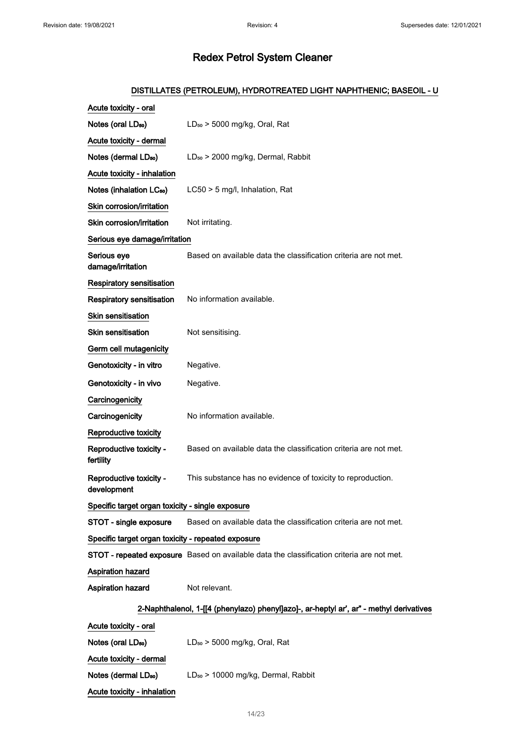### DISTILLATES (PETROLEUM), HYDROTREATED LIGHT NAPHTHENIC; BASEOIL - U

| Acute toxicity - oral                              |                                                                                           |  |  |
|----------------------------------------------------|-------------------------------------------------------------------------------------------|--|--|
| Notes (oral LD <sub>50</sub> )                     | $LD_{50}$ > 5000 mg/kg, Oral, Rat                                                         |  |  |
| Acute toxicity - dermal                            |                                                                                           |  |  |
| Notes (dermal LD <sub>50</sub> )                   | LD <sub>50</sub> > 2000 mg/kg, Dermal, Rabbit                                             |  |  |
| Acute toxicity - inhalation                        |                                                                                           |  |  |
| Notes (inhalation LC <sub>50</sub> )               | LC50 > 5 mg/l, Inhalation, Rat                                                            |  |  |
| Skin corrosion/irritation                          |                                                                                           |  |  |
| Skin corrosion/irritation                          | Not irritating.                                                                           |  |  |
| Serious eye damage/irritation                      |                                                                                           |  |  |
| Serious eye<br>damage/irritation                   | Based on available data the classification criteria are not met.                          |  |  |
| Respiratory sensitisation                          |                                                                                           |  |  |
| <b>Respiratory sensitisation</b>                   | No information available.                                                                 |  |  |
| <b>Skin sensitisation</b>                          |                                                                                           |  |  |
| <b>Skin sensitisation</b>                          | Not sensitising.                                                                          |  |  |
| Germ cell mutagenicity                             |                                                                                           |  |  |
| Genotoxicity - in vitro                            | Negative.                                                                                 |  |  |
| Genotoxicity - in vivo                             | Negative.                                                                                 |  |  |
| Carcinogenicity                                    |                                                                                           |  |  |
| Carcinogenicity                                    | No information available.                                                                 |  |  |
| Reproductive toxicity                              |                                                                                           |  |  |
| Reproductive toxicity -<br>fertility               | Based on available data the classification criteria are not met.                          |  |  |
| Reproductive toxicity -<br>development             | This substance has no evidence of toxicity to reproduction.                               |  |  |
| Specific target organ toxicity - single exposure   |                                                                                           |  |  |
| STOT - single exposure                             | Based on available data the classification criteria are not met.                          |  |  |
| Specific target organ toxicity - repeated exposure |                                                                                           |  |  |
|                                                    | STOT - repeated exposure Based on available data the classification criteria are not met. |  |  |
| <b>Aspiration hazard</b>                           |                                                                                           |  |  |
| Aspiration hazard                                  | Not relevant.                                                                             |  |  |
|                                                    | 2-Naphthalenol, 1-[[4 (phenylazo) phenyl]azo]-, ar-heptyl ar', ar" - methyl derivatives   |  |  |
| Acute toxicity - oral                              |                                                                                           |  |  |
| Notes (oral LD <sub>50</sub> )                     | $LD_{50}$ > 5000 mg/kg, Oral, Rat                                                         |  |  |
| Acute toxicity - dermal                            |                                                                                           |  |  |
| Notes (dermal LD <sub>50</sub> )                   | LD <sub>50</sub> > 10000 mg/kg, Dermal, Rabbit                                            |  |  |

Acute toxicity - inhalation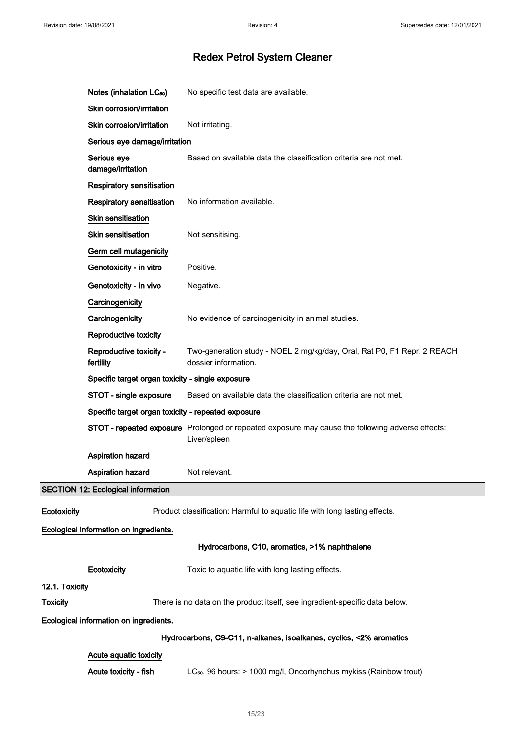|                 | Notes (inhalation LC <sub>50</sub> )                                | No specific test data are available.                                                                             |  |  |
|-----------------|---------------------------------------------------------------------|------------------------------------------------------------------------------------------------------------------|--|--|
|                 | Skin corrosion/irritation                                           |                                                                                                                  |  |  |
|                 | Skin corrosion/irritation                                           | Not irritating.                                                                                                  |  |  |
|                 | Serious eye damage/irritation                                       |                                                                                                                  |  |  |
|                 | Serious eye<br>damage/irritation                                    | Based on available data the classification criteria are not met.                                                 |  |  |
|                 | Respiratory sensitisation                                           |                                                                                                                  |  |  |
|                 | <b>Respiratory sensitisation</b>                                    | No information available.                                                                                        |  |  |
|                 | Skin sensitisation                                                  |                                                                                                                  |  |  |
|                 | <b>Skin sensitisation</b>                                           | Not sensitising.                                                                                                 |  |  |
|                 | Germ cell mutagenicity                                              |                                                                                                                  |  |  |
|                 | Genotoxicity - in vitro                                             | Positive.                                                                                                        |  |  |
|                 | Genotoxicity - in vivo                                              | Negative.                                                                                                        |  |  |
|                 | Carcinogenicity                                                     |                                                                                                                  |  |  |
|                 | Carcinogenicity                                                     | No evidence of carcinogenicity in animal studies.                                                                |  |  |
|                 | Reproductive toxicity                                               |                                                                                                                  |  |  |
|                 | Reproductive toxicity -<br>fertility                                | Two-generation study - NOEL 2 mg/kg/day, Oral, Rat P0, F1 Repr. 2 REACH<br>dossier information.                  |  |  |
|                 | Specific target organ toxicity - single exposure                    |                                                                                                                  |  |  |
|                 | STOT - single exposure                                              | Based on available data the classification criteria are not met.                                                 |  |  |
|                 | Specific target organ toxicity - repeated exposure                  |                                                                                                                  |  |  |
|                 |                                                                     | STOT - repeated exposure Prolonged or repeated exposure may cause the following adverse effects:<br>Liver/spleen |  |  |
|                 | <b>Aspiration hazard</b>                                            |                                                                                                                  |  |  |
|                 | <b>Aspiration hazard</b>                                            | Not relevant.                                                                                                    |  |  |
|                 | <b>SECTION 12: Ecological information</b>                           |                                                                                                                  |  |  |
| Ecotoxicity     |                                                                     | Product classification: Harmful to aquatic life with long lasting effects.                                       |  |  |
|                 | Ecological information on ingredients.                              |                                                                                                                  |  |  |
|                 |                                                                     | Hydrocarbons, C10, aromatics, >1% naphthalene                                                                    |  |  |
|                 | Ecotoxicity                                                         | Toxic to aquatic life with long lasting effects.                                                                 |  |  |
| 12.1. Toxicity  |                                                                     |                                                                                                                  |  |  |
| <b>Toxicity</b> |                                                                     | There is no data on the product itself, see ingredient-specific data below.                                      |  |  |
|                 | Ecological information on ingredients.                              |                                                                                                                  |  |  |
|                 | Hydrocarbons, C9-C11, n-alkanes, isoalkanes, cyclics, <2% aromatics |                                                                                                                  |  |  |
|                 | Acute aquatic toxicity                                              |                                                                                                                  |  |  |
|                 | Acute toxicity - fish                                               | LC <sub>50</sub> , 96 hours: > 1000 mg/l, Oncorhynchus mykiss (Rainbow trout)                                    |  |  |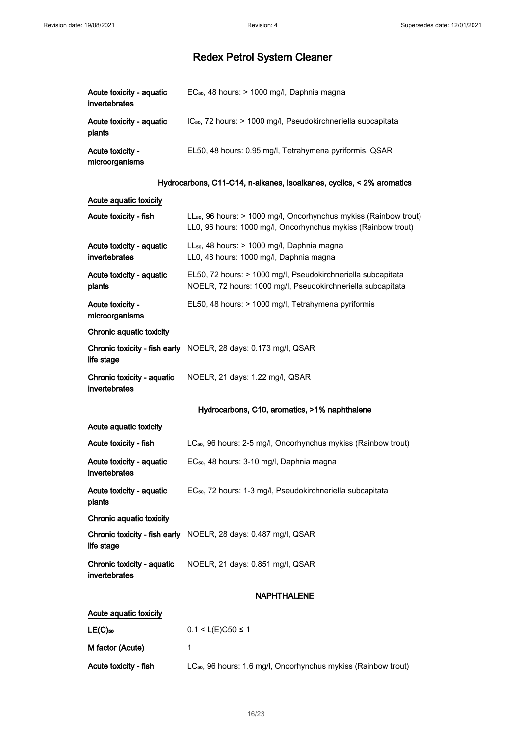| Acute toxicity - aquatic<br>invertebrates | EC <sub>50</sub> , 48 hours: > 1000 mg/l, Daphnia magna                   |
|-------------------------------------------|---------------------------------------------------------------------------|
| Acute toxicity - aquatic<br>plants        | IC <sub>50</sub> , 72 hours: > 1000 mg/l, Pseudokirchneriella subcapitata |
| Acute toxicity -<br>microorganisms        | EL50, 48 hours: 0.95 mg/l, Tetrahymena pyriformis, QSAR                   |

### Hydrocarbons, C11-C14, n-alkanes, isoalkanes, cyclics, < 2% aromatics

## Acute aquatic toxicity

| Acute toxicity - fish                     | LL <sub>50</sub> , 96 hours: > 1000 mg/l, Oncorhynchus mykiss (Rainbow trout)<br>LL0, 96 hours: 1000 mg/l, Oncorhynchus mykiss (Rainbow trout) |  |  |  |
|-------------------------------------------|------------------------------------------------------------------------------------------------------------------------------------------------|--|--|--|
| Acute toxicity - aquatic<br>invertebrates | LL <sub>50</sub> , 48 hours: > 1000 mg/l, Daphnia magna<br>LL0, 48 hours: 1000 mg/l, Daphnia magna                                             |  |  |  |
| Acute toxicity - aguatic<br>plants        | EL50, 72 hours: > 1000 mg/l, Pseudokirchneriella subcapitata<br>NOELR, 72 hours: 1000 mg/l, Pseudokirchneriella subcapitata                    |  |  |  |
| Acute toxicity -<br>microorganisms        | EL50, 48 hours: > 1000 mg/l, Tetrahymena pyriformis                                                                                            |  |  |  |
| Chronic aquatic toxicity                  |                                                                                                                                                |  |  |  |
| life stage                                | Chronic toxicity - fish early NOELR, 28 days: 0.173 mg/l, QSAR                                                                                 |  |  |  |
| Chronic toxicity - aquatic                | NOELR, 21 days: 1.22 mg/l, QSAR                                                                                                                |  |  |  |

invertebrates

### Hydrocarbons, C10, aromatics, >1% naphthalene

| Acute aguatic toxicity                      |                                                                        |
|---------------------------------------------|------------------------------------------------------------------------|
| Acute toxicity - fish                       | $LC_{50}$ , 96 hours: 2-5 mg/l, Oncorhynchus mykiss (Rainbow trout)    |
| Acute toxicity - aquatic<br>invertebrates   | EC <sub>50</sub> , 48 hours: 3-10 mg/l, Daphnia magna                  |
| Acute toxicity - aquatic<br>plants          | EC <sub>50</sub> , 72 hours: 1-3 mg/l, Pseudokirchneriella subcapitata |
| Chronic aquatic toxicity                    |                                                                        |
| life stage                                  | <b>Chronic toxicity - fish early</b> NOELR, 28 days: 0.487 mg/l, QSAR  |
| Chronic toxicity - aquatic<br>invertebrates | NOELR, 21 days: 0.851 mg/l, QSAR                                       |
|                                             | <b>NAPHTHALENE</b>                                                     |
| Acute aquatic toxicity                      |                                                                        |
| $LE(C)$ <sub>50</sub>                       | $0.1 < L(E)C50 \le 1$                                                  |

|  | M factor (Acute) |  |  |
|--|------------------|--|--|
|  |                  |  |  |

| Acute toxicity - fish |  |  |  | LC <sub>50</sub> , 96 hours: 1.6 mg/l, Oncorhynchus mykiss (Rainbow trout) |  |  |  |
|-----------------------|--|--|--|----------------------------------------------------------------------------|--|--|--|
|-----------------------|--|--|--|----------------------------------------------------------------------------|--|--|--|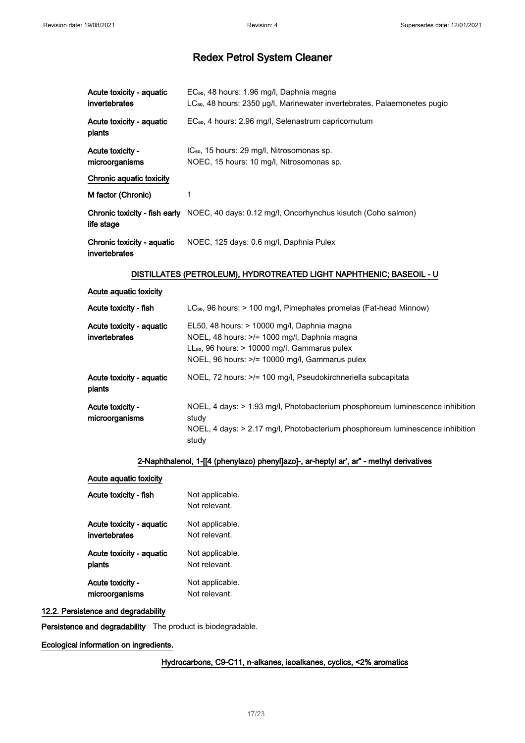| Acute toxicity - aguatic<br>invertebrates   | EC <sub>50</sub> , 48 hours: 1.96 mg/l, Daphnia magna<br>LC <sub>50</sub> , 48 hours: 2350 µg/l, Marinewater invertebrates, Palaemonetes pugio |  |  |  |
|---------------------------------------------|------------------------------------------------------------------------------------------------------------------------------------------------|--|--|--|
| Acute toxicity - aquatic<br>plants          | EC <sub>50</sub> , 4 hours: 2.96 mg/l, Selenastrum capricornutum                                                                               |  |  |  |
| Acute toxicity -<br>microorganisms          | IC <sub>50</sub> , 15 hours: 29 mg/l, Nitrosomonas sp.<br>NOEC, 15 hours: 10 mg/l, Nitrosomonas sp.                                            |  |  |  |
| Chronic aquatic toxicity                    |                                                                                                                                                |  |  |  |
| M factor (Chronic)                          | 1                                                                                                                                              |  |  |  |
| life stage                                  | <b>Chronic toxicity - fish early</b> NOEC, 40 days: 0.12 mg/l, Oncorhynchus kisutch (Coho salmon)                                              |  |  |  |
| Chronic toxicity - aquatic<br>invertebrates | NOEC, 125 days: 0.6 mg/l, Daphnia Pulex                                                                                                        |  |  |  |

### DISTILLATES (PETROLEUM), HYDROTREATED LIGHT NAPHTHENIC; BASEOIL - U

| Acute aquatic toxicity |  |  |
|------------------------|--|--|
|                        |  |  |

| Acute toxicity - fish                     | LC <sub>50</sub> , 96 hours: > 100 mg/l, Pimephales promelas (Fat-head Minnow)                                                                                                                        |
|-------------------------------------------|-------------------------------------------------------------------------------------------------------------------------------------------------------------------------------------------------------|
| Acute toxicity - aquatic<br>invertebrates | EL50, 48 hours: > 10000 mg/l, Daphnia magna<br>NOEL, 48 hours: >/= 1000 mg/l, Daphnia magna<br>$LL_{50}$ , 96 hours: $> 10000$ mg/l, Gammarus pulex<br>NOEL, 96 hours: >/= 10000 mg/l, Gammarus pulex |
| Acute toxicity - aquatic<br>plants        | NOEL, 72 hours: >/= 100 mg/l, Pseudokirchneriella subcapitata                                                                                                                                         |
| Acute toxicity -<br>microorganisms        | NOEL, 4 days: > 1.93 mg/l, Photobacterium phosphoreum luminescence inhibition<br>study<br>NOEL, 4 days: $> 2.17$ mg/l, Photobacterium phosphoreum luminescence inhibition<br>study                    |

### 2-Naphthalenol, 1-[[4 (phenylazo) phenyl]azo]-, ar-heptyl ar', ar" - methyl derivatives

| Acute aquatic toxicity   |                                  |
|--------------------------|----------------------------------|
| Acute toxicity - fish    | Not applicable.<br>Not relevant. |
| Acute toxicity - aquatic | Not applicable.                  |
| invertebrates            | Not relevant.                    |
| Acute toxicity - aquatic | Not applicable.                  |
| plants                   | Not relevant.                    |
| Acute toxicity -         | Not applicable.                  |
| microorganisms           | Not relevant.                    |

#### 12.2. Persistence and degradability

Persistence and degradability The product is biodegradable.

### Ecological information on ingredients.

### Hydrocarbons, C9-C11, n-alkanes, isoalkanes, cyclics, <2% aromatics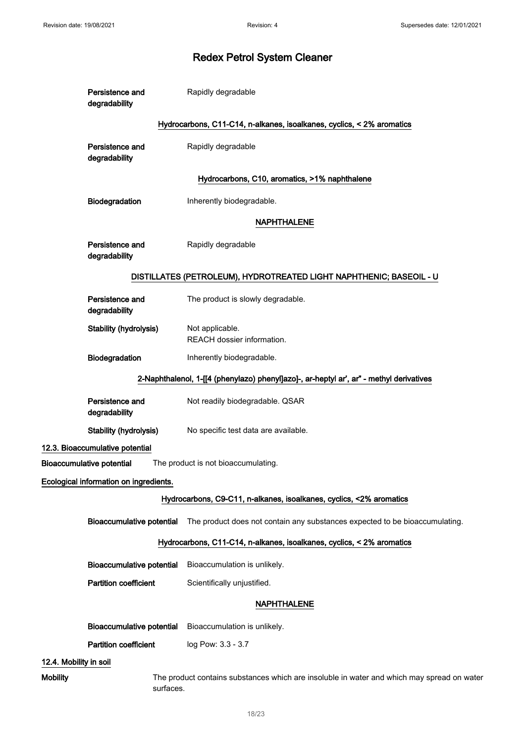|                                                                                         | Persistence and<br>degradability       | Rapidly degradable                                                                         |  |
|-----------------------------------------------------------------------------------------|----------------------------------------|--------------------------------------------------------------------------------------------|--|
|                                                                                         |                                        | Hydrocarbons, C11-C14, n-alkanes, isoalkanes, cyclics, < 2% aromatics                      |  |
|                                                                                         | Persistence and<br>degradability       | Rapidly degradable                                                                         |  |
|                                                                                         |                                        | Hydrocarbons, C10, aromatics, >1% naphthalene                                              |  |
|                                                                                         | Biodegradation                         | Inherently biodegradable.                                                                  |  |
|                                                                                         |                                        | <b>NAPHTHALENE</b>                                                                         |  |
|                                                                                         | Persistence and<br>degradability       | Rapidly degradable                                                                         |  |
|                                                                                         |                                        | DISTILLATES (PETROLEUM), HYDROTREATED LIGHT NAPHTHENIC; BASEOIL - U                        |  |
|                                                                                         | Persistence and<br>degradability       | The product is slowly degradable.                                                          |  |
|                                                                                         | Stability (hydrolysis)                 | Not applicable.<br>REACH dossier information.                                              |  |
|                                                                                         | Biodegradation                         | Inherently biodegradable.                                                                  |  |
| 2-Naphthalenol, 1-[[4 (phenylazo) phenyl]azo]-, ar-heptyl ar', ar" - methyl derivatives |                                        |                                                                                            |  |
|                                                                                         | Persistence and<br>degradability       | Not readily biodegradable. QSAR                                                            |  |
|                                                                                         | Stability (hydrolysis)                 | No specific test data are available.                                                       |  |
|                                                                                         | 12.3. Bioaccumulative potential        |                                                                                            |  |
| <b>Bioaccumulative potential</b>                                                        |                                        | The product is not bioaccumulating.                                                        |  |
|                                                                                         | Ecological information on ingredients. |                                                                                            |  |
|                                                                                         |                                        | Hydrocarbons, C9-C11, n-alkanes, isoalkanes, cyclics, <2% aromatics                        |  |
|                                                                                         | <b>Bioaccumulative potential</b>       | The product does not contain any substances expected to be bioaccumulating.                |  |
|                                                                                         |                                        | Hydrocarbons, C11-C14, n-alkanes, isoalkanes, cyclics, < 2% aromatics                      |  |
|                                                                                         | <b>Bioaccumulative potential</b>       | Bioaccumulation is unlikely.                                                               |  |
|                                                                                         | <b>Partition coefficient</b>           | Scientifically unjustified.                                                                |  |
| <b>NAPHTHALENE</b>                                                                      |                                        |                                                                                            |  |
|                                                                                         | <b>Bioaccumulative potential</b>       | Bioaccumulation is unlikely.                                                               |  |
|                                                                                         | <b>Partition coefficient</b>           | log Pow: 3.3 - 3.7                                                                         |  |
| 12.4. Mobility in soil                                                                  |                                        |                                                                                            |  |
| <b>Mobility</b>                                                                         | surfaces.                              | The product contains substances which are insoluble in water and which may spread on water |  |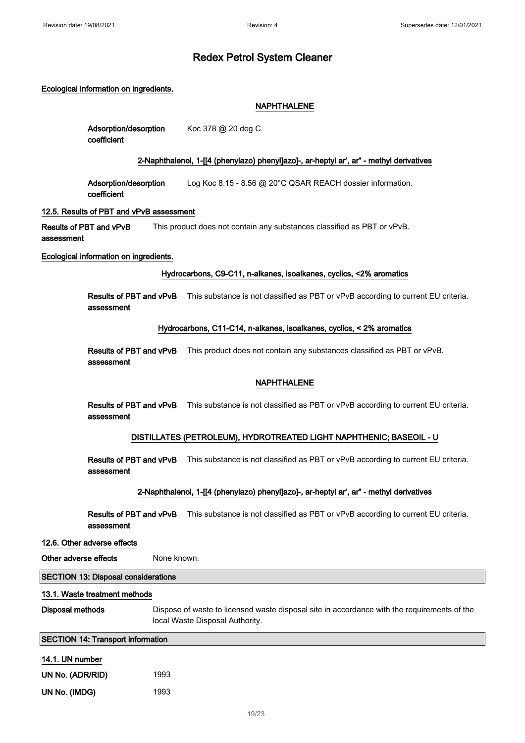#### Ecological information on ingredients.

#### NAPHTHALENE

| Adsorption/desorption | Koc 378 @ 20 deg C |
|-----------------------|--------------------|
| coefficient           |                    |

#### 2-Naphthalenol, 1-[[4 (phenylazo) phenyl]azo]-, ar-heptyl ar', ar" - methyl derivatives

Adsorption/desorption coefficient Log Koc 8.15 - 8.56 @ 20°C QSAR REACH dossier information.

#### 12.5. Results of PBT and vPvB assessment

Results of PBT and vPvB assessment This product does not contain any substances classified as PBT or vPvB.

#### Ecological information on ingredients.

#### Hydrocarbons, C9-C11, n-alkanes, isoalkanes, cyclics, <2% aromatics

Results of PBT and vPvB This substance is not classified as PBT or vPvB according to current EU criteria. assessment

#### Hydrocarbons, C11-C14, n-alkanes, isoalkanes, cyclics, < 2% aromatics

Results of PBT and vPvB This product does not contain any substances classified as PBT or vPvB. assessment

#### NAPHTHALENE

Results of PBT and vPvB This substance is not classified as PBT or vPvB according to current EU criteria. assessment

### DISTILLATES (PETROLEUM), HYDROTREATED LIGHT NAPHTHENIC; BASEOIL - U

Results of PBT and vPvB This substance is not classified as PBT or vPvB according to current EU criteria. assessment

#### 2-Naphthalenol, 1-[[4 (phenylazo) phenyl]azo]-, ar-heptyl ar', ar" - methyl derivatives

Results of PBT and vPvB This substance is not classified as PBT or vPvB according to current EU criteria. assessment

#### 12.6. Other adverse effects

#### Other adverse effects None known.

#### SECTION 13: Disposal considerations

#### 13.1. Waste treatment methods

Disposal methods Dispose of waste to licensed waste disposal site in accordance with the requirements of the local Waste Disposal Authority.

#### SECTION 14: Transport information

#### 14.1. UN number

| UN No. (ADR/RID) | 1993 |
|------------------|------|
| UN No. (IMDG)    | 1993 |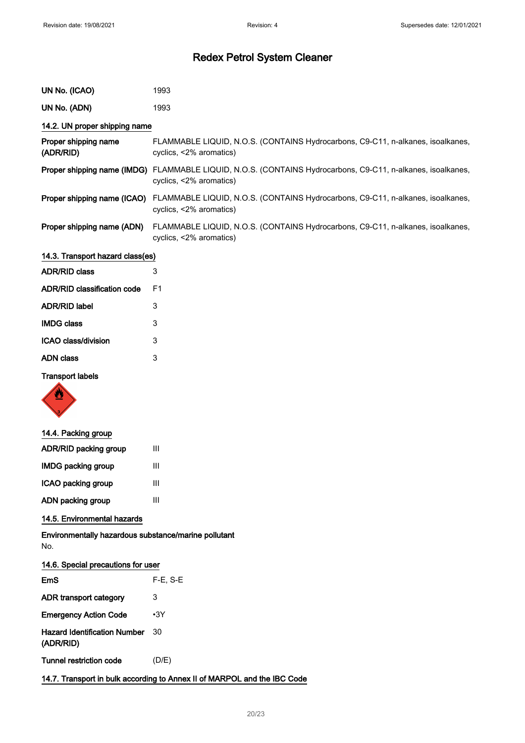| UN No. (ICAO)                                                            | 1993                                                                                                                                   |  |
|--------------------------------------------------------------------------|----------------------------------------------------------------------------------------------------------------------------------------|--|
| UN No. (ADN)                                                             | 1993                                                                                                                                   |  |
| 14.2. UN proper shipping name                                            |                                                                                                                                        |  |
| Proper shipping name<br>(ADR/RID)                                        | FLAMMABLE LIQUID, N.O.S. (CONTAINS Hydrocarbons, C9-C11, n-alkanes, isoalkanes,<br>cyclics, <2% aromatics)                             |  |
|                                                                          | Proper shipping name (IMDG) FLAMMABLE LIQUID, N.O.S. (CONTAINS Hydrocarbons, C9-C11, n-alkanes, isoalkanes,<br>cyclics, <2% aromatics) |  |
|                                                                          | Proper shipping name (ICAO) FLAMMABLE LIQUID, N.O.S. (CONTAINS Hydrocarbons, C9-C11, n-alkanes, isoalkanes,<br>cyclics, <2% aromatics) |  |
| Proper shipping name (ADN)                                               | FLAMMABLE LIQUID, N.O.S. (CONTAINS Hydrocarbons, C9-C11, n-alkanes, isoalkanes,<br>cyclics, <2% aromatics)                             |  |
| 14.3. Transport hazard class(es)                                         |                                                                                                                                        |  |
| <b>ADR/RID class</b>                                                     | 3                                                                                                                                      |  |
| <b>ADR/RID classification code</b>                                       | F <sub>1</sub>                                                                                                                         |  |
| <b>ADR/RID label</b>                                                     | 3                                                                                                                                      |  |
| <b>IMDG class</b>                                                        | 3                                                                                                                                      |  |
| ICAO class/division                                                      | 3                                                                                                                                      |  |
| <b>ADN</b> class                                                         | 3                                                                                                                                      |  |
| <b>Transport labels</b>                                                  |                                                                                                                                        |  |
| 14.4. Packing group                                                      |                                                                                                                                        |  |
| ADR/RID packing group                                                    | Ш                                                                                                                                      |  |
| <b>IMDG packing group</b>                                                | Ш                                                                                                                                      |  |
| ICAO packing group                                                       | Ш                                                                                                                                      |  |
| ADN packing group                                                        | Ш                                                                                                                                      |  |
| 14.5. Environmental hazards                                              |                                                                                                                                        |  |
| Environmentally hazardous substance/marine pollutant<br>No.              |                                                                                                                                        |  |
| 14.6. Special precautions for user                                       |                                                                                                                                        |  |
| <b>EmS</b>                                                               | $F-E$ , S-E                                                                                                                            |  |
| ADR transport category                                                   | 3                                                                                                                                      |  |
| <b>Emergency Action Code</b>                                             | $-3Y$                                                                                                                                  |  |
| <b>Hazard Identification Number</b><br>(ADR/RID)                         | 30                                                                                                                                     |  |
| <b>Tunnel restriction code</b>                                           | (D/E)                                                                                                                                  |  |
| 14.7. Transport in bulk according to Annex II of MARPOL and the IBC Code |                                                                                                                                        |  |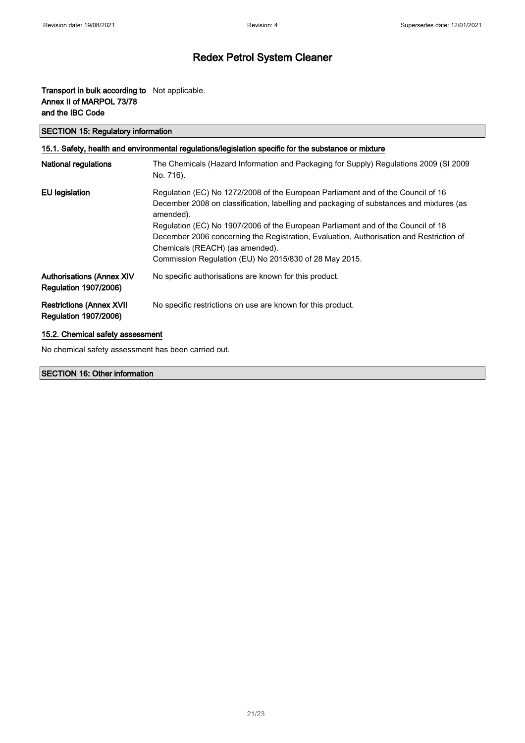### Transport in bulk according to Not applicable. Annex II of MARPOL 73/78 and the IBC Code

SECTION 15: Regulatory information

| 15.1. Safety, health and environmental regulations/legislation specific for the substance or mixture |                                                                                                                                                                                                                                                                                                                                                                                                                                                                      |  |  |
|------------------------------------------------------------------------------------------------------|----------------------------------------------------------------------------------------------------------------------------------------------------------------------------------------------------------------------------------------------------------------------------------------------------------------------------------------------------------------------------------------------------------------------------------------------------------------------|--|--|
| <b>National regulations</b>                                                                          | The Chemicals (Hazard Information and Packaging for Supply) Regulations 2009 (SI 2009<br>No. 716).                                                                                                                                                                                                                                                                                                                                                                   |  |  |
| EU legislation                                                                                       | Regulation (EC) No 1272/2008 of the European Parliament and of the Council of 16<br>December 2008 on classification, labelling and packaging of substances and mixtures (as<br>amended).<br>Regulation (EC) No 1907/2006 of the European Parliament and of the Council of 18<br>December 2006 concerning the Registration, Evaluation, Authorisation and Restriction of<br>Chemicals (REACH) (as amended).<br>Commission Regulation (EU) No 2015/830 of 28 May 2015. |  |  |
| <b>Authorisations (Annex XIV</b><br><b>Regulation 1907/2006)</b>                                     | No specific authorisations are known for this product.                                                                                                                                                                                                                                                                                                                                                                                                               |  |  |
| <b>Restrictions (Annex XVII</b><br><b>Regulation 1907/2006)</b>                                      | No specific restrictions on use are known for this product.                                                                                                                                                                                                                                                                                                                                                                                                          |  |  |
| 15.2. Chemical safety assessment                                                                     |                                                                                                                                                                                                                                                                                                                                                                                                                                                                      |  |  |

No chemical safety assessment has been carried out.

### SECTION 16: Other information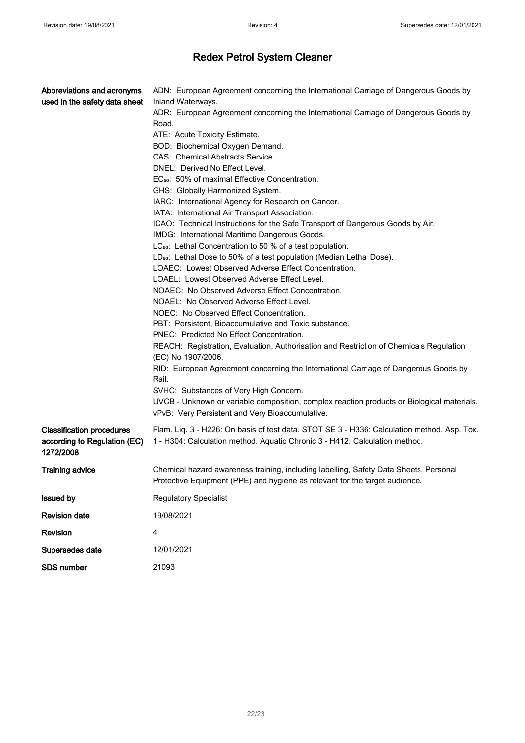| Abbreviations and acronyms<br>used in the safety data sheet                   | ADN: European Agreement concerning the International Carriage of Dangerous Goods by<br>Inland Waterways.<br>ADR: European Agreement concerning the International Carriage of Dangerous Goods by<br>Road.<br>ATE: Acute Toxicity Estimate.<br>BOD: Biochemical Oxygen Demand.<br>CAS: Chemical Abstracts Service.<br>DNEL: Derived No Effect Level.<br>EC <sub>50</sub> : 50% of maximal Effective Concentration.<br>GHS: Globally Harmonized System.<br>IARC: International Agency for Research on Cancer.<br>IATA: International Air Transport Association.<br>ICAO: Technical Instructions for the Safe Transport of Dangerous Goods by Air.<br>IMDG: International Maritime Dangerous Goods.<br>LC <sub>50</sub> : Lethal Concentration to 50 % of a test population.<br>LD <sub>50</sub> : Lethal Dose to 50% of a test population (Median Lethal Dose).<br>LOAEC: Lowest Observed Adverse Effect Concentration.<br>LOAEL: Lowest Observed Adverse Effect Level.<br>NOAEC: No Observed Adverse Effect Concentration.<br>NOAEL: No Observed Adverse Effect Level.<br>NOEC: No Observed Effect Concentration. |  |  |
|-------------------------------------------------------------------------------|-----------------------------------------------------------------------------------------------------------------------------------------------------------------------------------------------------------------------------------------------------------------------------------------------------------------------------------------------------------------------------------------------------------------------------------------------------------------------------------------------------------------------------------------------------------------------------------------------------------------------------------------------------------------------------------------------------------------------------------------------------------------------------------------------------------------------------------------------------------------------------------------------------------------------------------------------------------------------------------------------------------------------------------------------------------------------------------------------------------------|--|--|
|                                                                               |                                                                                                                                                                                                                                                                                                                                                                                                                                                                                                                                                                                                                                                                                                                                                                                                                                                                                                                                                                                                                                                                                                                 |  |  |
|                                                                               |                                                                                                                                                                                                                                                                                                                                                                                                                                                                                                                                                                                                                                                                                                                                                                                                                                                                                                                                                                                                                                                                                                                 |  |  |
|                                                                               |                                                                                                                                                                                                                                                                                                                                                                                                                                                                                                                                                                                                                                                                                                                                                                                                                                                                                                                                                                                                                                                                                                                 |  |  |
|                                                                               |                                                                                                                                                                                                                                                                                                                                                                                                                                                                                                                                                                                                                                                                                                                                                                                                                                                                                                                                                                                                                                                                                                                 |  |  |
|                                                                               | PBT: Persistent, Bioaccumulative and Toxic substance.                                                                                                                                                                                                                                                                                                                                                                                                                                                                                                                                                                                                                                                                                                                                                                                                                                                                                                                                                                                                                                                           |  |  |
|                                                                               | PNEC: Predicted No Effect Concentration.                                                                                                                                                                                                                                                                                                                                                                                                                                                                                                                                                                                                                                                                                                                                                                                                                                                                                                                                                                                                                                                                        |  |  |
|                                                                               | REACH: Registration, Evaluation, Authorisation and Restriction of Chemicals Regulation<br>(EC) No 1907/2006.                                                                                                                                                                                                                                                                                                                                                                                                                                                                                                                                                                                                                                                                                                                                                                                                                                                                                                                                                                                                    |  |  |
|                                                                               | RID: European Agreement concerning the International Carriage of Dangerous Goods by<br>Rail.                                                                                                                                                                                                                                                                                                                                                                                                                                                                                                                                                                                                                                                                                                                                                                                                                                                                                                                                                                                                                    |  |  |
|                                                                               | SVHC: Substances of Very High Concern.                                                                                                                                                                                                                                                                                                                                                                                                                                                                                                                                                                                                                                                                                                                                                                                                                                                                                                                                                                                                                                                                          |  |  |
|                                                                               | UVCB - Unknown or variable composition, complex reaction products or Biological materials.<br>vPvB: Very Persistent and Very Bioaccumulative.                                                                                                                                                                                                                                                                                                                                                                                                                                                                                                                                                                                                                                                                                                                                                                                                                                                                                                                                                                   |  |  |
| <b>Classification procedures</b><br>according to Regulation (EC)<br>1272/2008 | Flam. Liq. 3 - H226: On basis of test data. STOT SE 3 - H336: Calculation method. Asp. Tox.<br>1 - H304: Calculation method. Aquatic Chronic 3 - H412: Calculation method.                                                                                                                                                                                                                                                                                                                                                                                                                                                                                                                                                                                                                                                                                                                                                                                                                                                                                                                                      |  |  |
| <b>Training advice</b>                                                        | Chemical hazard awareness training, including labelling, Safety Data Sheets, Personal<br>Protective Equipment (PPE) and hygiene as relevant for the target audience.                                                                                                                                                                                                                                                                                                                                                                                                                                                                                                                                                                                                                                                                                                                                                                                                                                                                                                                                            |  |  |
| <b>Issued by</b>                                                              | <b>Regulatory Specialist</b>                                                                                                                                                                                                                                                                                                                                                                                                                                                                                                                                                                                                                                                                                                                                                                                                                                                                                                                                                                                                                                                                                    |  |  |
| <b>Revision date</b>                                                          | 19/08/2021                                                                                                                                                                                                                                                                                                                                                                                                                                                                                                                                                                                                                                                                                                                                                                                                                                                                                                                                                                                                                                                                                                      |  |  |
| Revision                                                                      | 4                                                                                                                                                                                                                                                                                                                                                                                                                                                                                                                                                                                                                                                                                                                                                                                                                                                                                                                                                                                                                                                                                                               |  |  |
| Supersedes date                                                               | 12/01/2021                                                                                                                                                                                                                                                                                                                                                                                                                                                                                                                                                                                                                                                                                                                                                                                                                                                                                                                                                                                                                                                                                                      |  |  |
| <b>SDS number</b>                                                             | 21093                                                                                                                                                                                                                                                                                                                                                                                                                                                                                                                                                                                                                                                                                                                                                                                                                                                                                                                                                                                                                                                                                                           |  |  |